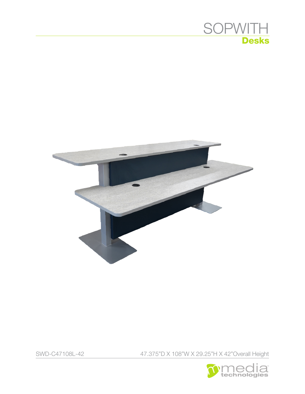



SWD-C47108L-42 47.375"D X 108"W X 29.25"H X 42"Overall Height